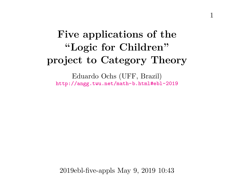# **Five applications of the "Logic for Children" project to Category Theory**

Eduardo Ochs (UFF, Brazil) <http://angg.twu.net/math-b.html#ebl-2019>

2019ebl-five-appls May 9, 2019 10:43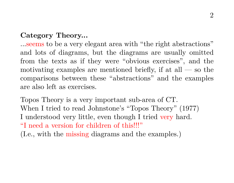#### **Category Theory...**

...seems to be a very elegant area with "the right abstractions" and lots of diagrams, but the diagrams are usually omitted from the texts as if they were "obvious exercises", and the motivating examples are mentioned briefly, if at all  $-$  so the comparisons between these "abstractions" and the examples are also left as exercises.

Topos Theory is a very important sub-area of CT. When I tried to read Johnstone's "Topos Theory" (1977) I understood very little, even though I tried very hard. "I need a version for children of this!!!"

(I.e., with the missing diagrams and the examples.)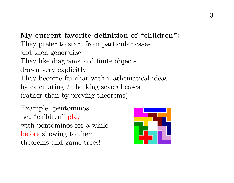**My current favorite definition of "children":** They prefer to start from particular cases and then generalize — They like diagrams and finite objects drawn very explicitly — They become familiar with mathematical ideas by calculating / checking several cases (rather than by proving theorems)

Example: pentominos. Let "children" play with pentominos for a while before showing to them theorems and game trees!

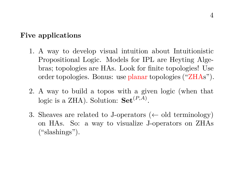#### **Five applications**

- 1. A way to develop visual intuition about Intuitionistic Propositional Logic. Models for IPL are Heyting Algebras; topologies are HAs. Look for finite topologies! Use order topologies. Bonus: use planar topologies ("ZHAs").
- 2. A way to build a topos with a given logic (when that logic is a ZHA). Solution:  $\mathbf{Set}^{(P,A)}$ .
- 3. Sheaves are related to J-operators ( $\leftarrow$  old terminology) on HAs. So: a way to visualize J-operators on ZHAs ("slashings").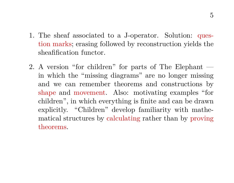- 1. The sheaf associated to a J-operator. Solution: question marks; erasing followed by reconstruction yields the sheafification functor.
- 2. A version "for children" for parts of The Elephant in which the "missing diagrams" are no longer missing and we can remember theorems and constructions by shape and movement. Also: motivating examples "for children", in which everything is finite and can be drawn explicitly. "Children" develop familiarity with mathematical structures by calculating rather than by proving theorems.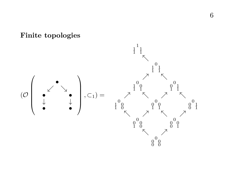

### **Finite topologies**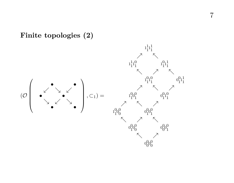## **Finite topologies (2)**

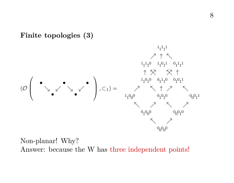#### **Finite topologies (3)**



Non-planar! Why? Answer: because the W has three independent points!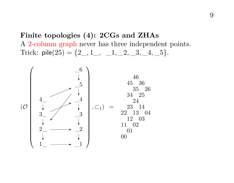**Finite topologies (4): 2CGs and ZHAs** A 2-column graph never has three independent points. Trick:  $\text{pile}(25) = \{2, 1, 1, 2, 3, 4, 5\}.$ 

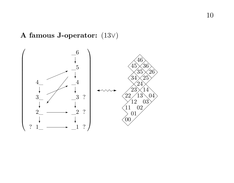## **A famous J-operator:** (13 ∨ )

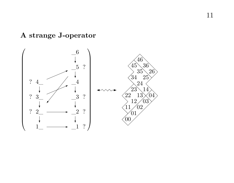# **A strange J-operator**

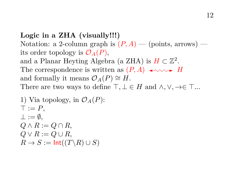**Logic in a ZHA (visually!!!)** Notation: a 2-column graph is  $(P, A)$  — (points, arrows) its order topology is  $\mathcal{O}_A(P)$ , and a Planar Heyting Algebra (a ZHA) is  $H \subset \mathbb{Z}^2$ . The correspondence is written as  $(P, A) \leftrightarrow W \rightarrow H$ and formally it means  $\mathcal{O}_A(P) \cong H$ . There are two ways to define  $\top, \bot \in H$  and  $\land, \lor, \rightarrow \in \top$ ...

1) Via topology, in 
$$
\mathcal{O}_A(P)
$$
:  
\n $\top := P$ ,  
\n $\bot := \emptyset$ ,  
\n $Q \land R := Q \cap R$ ,  
\n $Q \lor R := Q \cup R$ ,  
\n $R \to S := \text{Int}((T \backslash R) \cup S)$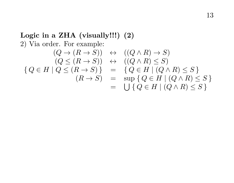# **Logic in a ZHA (visually!!!) (2)** 2) Via order. For example:

$$
(Q \rightarrow (R \rightarrow S)) \leftrightarrow ((Q \land R) \rightarrow S)
$$
  
\n
$$
(Q \leq (R \rightarrow S)) \leftrightarrow ((Q \land R) \leq S)
$$
  
\n
$$
\{Q \in H \mid Q \leq (R \rightarrow S)\} = \{Q \in H \mid (Q \land R) \leq S\}
$$
  
\n
$$
(R \rightarrow S) = \sup \{Q \in H \mid (Q \land R) \leq S\}
$$
  
\n
$$
= \bigcup \{Q \in H \mid (Q \land R) \leq S\}
$$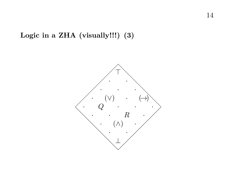# **Logic in a ZHA (visually!!!) (3)**

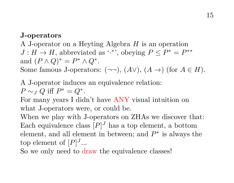#### **J-operators**

A J-operator on a Heyting Algebra H is an operation  $J: H \to H$ , abbreviated as '.\*', obeying  $P \le P^* = P^{**}$ and  $(P \wedge Q)^* = P^* \wedge Q^*$ . Some famous J-operators:  $(\neg\neg)$ ,  $(A \lor)$ ,  $(A \rightarrow)$  (for  $A \in H$ ).

# A J-operator induces an equivalence relation:  $P \sim_J Q$  iff  $P^* = Q^*$ .

For many years I didn't have ANY visual intuition on what J-operators were, or could be.

When we play with J-operators on ZHAs we discover that: Each equivalence class  $[P]^J$  has a top element, a bottom element, and all element in between; and  $P^*$  is always the top element of  $[P]^J...$ 

So we only need to draw the equivalence classes!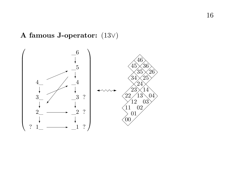## **A famous J-operator:** (13 ∨ )

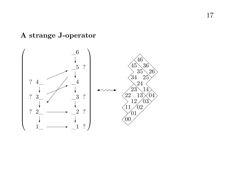# **A strange J-operator**

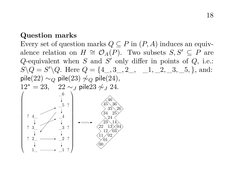#### **Question marks**

Every set of question marks  $Q \subseteq P$  in  $(P, A)$  induces an equivalence relation on  $H \cong \mathcal{O}_A(P)$ . Two subsets  $S, S' \subseteq P$  are Q-equivalent when  $S$  and  $S'$  only differ in points of  $Q$ , i.e.:  $S \setminus Q = S' \setminus Q$ . Here  $Q = \{4\_, 3\_, 2\_, \_1\_2, \_3\_5, \}$ , and: pile(22)  $\sim_Q$  pile(23)  $\sim_Q$  pile(24),  $12^* = 23$ ,  $22 \sim I$  pile23  $\sim I$  24.  $\sqrt{2}$  1\_  $^{2}$  $^{3}-$ 4\_  $\mathbf{1}$  $_{-2}$  $\_3$  $_{-4}$  $\_5$  $\_6$ ? ? ? ? ? ? ? \\_  $\overline{\phantom{a}}$ 45 46 34 35 36 22 23 24 25 26 11 12 13 14 00  $^{01}$  $^{02}$ 03 04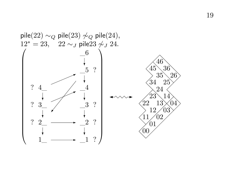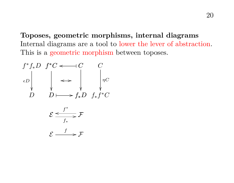**Toposes, geometric morphisms, internal diagrams** Internal diagrams are a tool to lower the lever of abstraction. This is a geometric morphism between toposes.

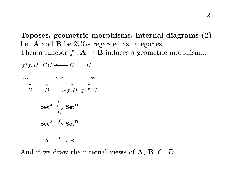**Toposes, geometric morphisms, internal diagrams (2)** Let **A** and **B** be 2CGs regarded as categories. Then a functor  $f: \mathbf{A} \to \mathbf{B}$  induces a geometric morphism...

$$
f^*f_*D \t f^*C \t\t\t\longrightarrow C \t\t C
$$
  
\n
$$
cD \t\t \longrightarrow f_*D \t f_*f^*C
$$
  
\n
$$
\text{Set}^{\mathbf{A}} \xrightarrow{f^*} \text{Set}^{\mathbf{B}}
$$
  
\n
$$
\text{Set}^{\mathbf{A}} \xrightarrow{f} \text{Set}^{\mathbf{B}}
$$
  
\n
$$
\text{Set}^{\mathbf{A}} \xrightarrow{f} \text{Set}^{\mathbf{B}}
$$
  
\n
$$
\text{Set}^{\mathbf{A}} \xrightarrow{f} \text{Set}^{\mathbf{B}}
$$

And if we draw the internal views of  $A, B, C, D...$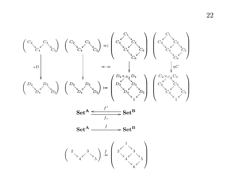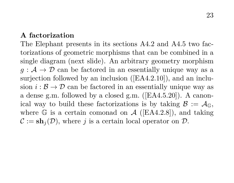#### **A factorization**

The Elephant presents in its sections A4.2 and A4.5 two factorizations of geometric morphisms that can be combined in a single diagram (next slide). An arbitrary geometry morphism  $q : A \rightarrow \mathcal{D}$  can be factored in an essentially unique way as a surjection followed by an inclusion ([EA4.2.10]), and an inclusion  $i : \mathcal{B} \to \mathcal{D}$  can be factored in an essentially unique way as a dense g.m. followed by a closed g.m. ([EA4.5.20]). A canonical way to build these factorizations is by taking  $\mathcal{B} := \mathcal{A}_{\mathbb{G}}$ , where  $\mathbb G$  is a certain comonad on  $\mathcal A$  ([EA4.2.8]), and taking  $\mathcal{C} := \mathbf{sh}_i(\mathcal{D})$ , where j is a certain local operator on  $\mathcal{D}$ .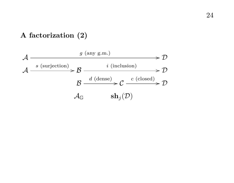## **A factorization (2)**

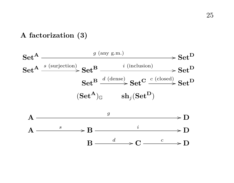## **A factorization (3)**



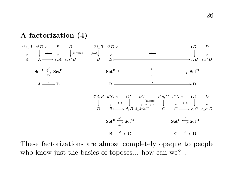#### **A factorization (4)**



These factorizations are almost completely opaque to people who know just the basics of toposes... how can we?...